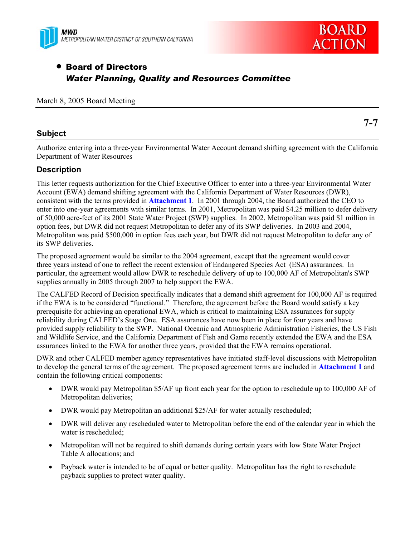



# • Board of Directors *Water Planning, Quality and Resources Committee*

### March 8, 2005 Board Meeting

### **Subject**

**7-7** 

Authorize entering into a three-year Environmental Water Account demand shifting agreement with the California Department of Water Resources

### **Description**

This letter requests authorization for the Chief Executive Officer to enter into a three-year Environmental Water Account (EWA) demand shifting agreement with the California Department of Water Resources (DWR), consistent with the terms provided in **Attachment 1**. In 2001 through 2004, the Board authorized the CEO to enter into one-year agreements with similar terms. In 2001, Metropolitan was paid \$4.25 million to defer delivery of 50,000 acre-feet of its 2001 State Water Project (SWP) supplies. In 2002, Metropolitan was paid \$1 million in option fees, but DWR did not request Metropolitan to defer any of its SWP deliveries. In 2003 and 2004, Metropolitan was paid \$500,000 in option fees each year, but DWR did not request Metropolitan to defer any of its SWP deliveries.

The proposed agreement would be similar to the 2004 agreement, except that the agreement would cover three years instead of one to reflect the recent extension of Endangered Species Act (ESA) assurances. In particular, the agreement would allow DWR to reschedule delivery of up to 100,000 AF of Metropolitan's SWP supplies annually in 2005 through 2007 to help support the EWA.

The CALFED Record of Decision specifically indicates that a demand shift agreement for 100,000 AF is required if the EWA is to be considered "functional." Therefore, the agreement before the Board would satisfy a key prerequisite for achieving an operational EWA, which is critical to maintaining ESA assurances for supply reliability during CALFED's Stage One. ESA assurances have now been in place for four years and have provided supply reliability to the SWP. National Oceanic and Atmospheric Administration Fisheries, the US Fish and Wildlife Service, and the California Department of Fish and Game recently extended the EWA and the ESA assurances linked to the EWA for another three years, provided that the EWA remains operational.

DWR and other CALFED member agency representatives have initiated staff-level discussions with Metropolitan to develop the general terms of the agreement. The proposed agreement terms are included in **Attachment 1** and contain the following critical components:

- DWR would pay Metropolitan \$5/AF up front each year for the option to reschedule up to 100,000 AF of Metropolitan deliveries;
- DWR would pay Metropolitan an additional \$25/AF for water actually rescheduled;
- DWR will deliver any rescheduled water to Metropolitan before the end of the calendar year in which the water is rescheduled;
- Metropolitan will not be required to shift demands during certain years with low State Water Project Table A allocations; and
- Payback water is intended to be of equal or better quality. Metropolitan has the right to reschedule payback supplies to protect water quality.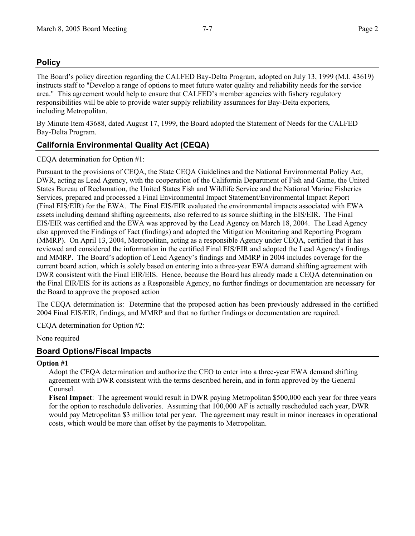# **Policy**

The Board's policy direction regarding the CALFED Bay-Delta Program, adopted on July 13, 1999 (M.I. 43619) instructs staff to "Develop a range of options to meet future water quality and reliability needs for the service area." This agreement would help to ensure that CALFED's member agencies with fishery regulatory responsibilities will be able to provide water supply reliability assurances for Bay-Delta exporters, including Metropolitan.

By Minute Item 43688, dated August 17, 1999, the Board adopted the Statement of Needs for the CALFED Bay-Delta Program.

# **California Environmental Quality Act (CEQA)**

CEQA determination for Option #1:

Pursuant to the provisions of CEQA, the State CEQA Guidelines and the National Environmental Policy Act, DWR, acting as Lead Agency, with the cooperation of the California Department of Fish and Game, the United States Bureau of Reclamation, the United States Fish and Wildlife Service and the National Marine Fisheries Services, prepared and processed a Final Environmental Impact Statement/Environmental Impact Report (Final EIS/EIR) for the EWA. The Final EIS/EIR evaluated the environmental impacts associated with EWA assets including demand shifting agreements, also referred to as source shifting in the EIS/EIR. The Final EIS/EIR was certified and the EWA was approved by the Lead Agency on March 18, 2004. The Lead Agency also approved the Findings of Fact (findings) and adopted the Mitigation Monitoring and Reporting Program (MMRP). On April 13, 2004, Metropolitan, acting as a responsible Agency under CEQA, certified that it has reviewed and considered the information in the certified Final EIS/EIR and adopted the Lead Agency's findings and MMRP. The Board's adoption of Lead Agency's findings and MMRP in 2004 includes coverage for the current board action, which is solely based on entering into a three-year EWA demand shifting agreement with DWR consistent with the Final EIR/EIS. Hence, because the Board has already made a CEQA determination on the Final EIR/EIS for its actions as a Responsible Agency, no further findings or documentation are necessary for the Board to approve the proposed action

The CEQA determination is: Determine that the proposed action has been previously addressed in the certified 2004 Final EIS/EIR, findings, and MMRP and that no further findings or documentation are required.

CEQA determination for Option #2:

None required

### **Board Options/Fiscal Impacts**

### **Option #1**

Adopt the CEQA determination and authorize the CEO to enter into a three-year EWA demand shifting agreement with DWR consistent with the terms described herein, and in form approved by the General Counsel.

**Fiscal Impact**: The agreement would result in DWR paying Metropolitan \$500,000 each year for three years for the option to reschedule deliveries. Assuming that 100,000 AF is actually rescheduled each year, DWR would pay Metropolitan \$3 million total per year. The agreement may result in minor increases in operational costs, which would be more than offset by the payments to Metropolitan.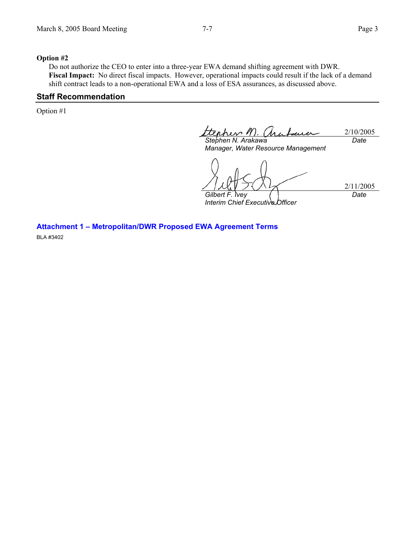2/11/2005

*Date* 

#### **Option #2**

Do not authorize the CEO to enter into a three-year EWA demand shifting agreement with DWR. **Fiscal Impact:** No direct fiscal impacts. However, operational impacts could result if the lack of a demand shift contract leads to a non-operational EWA and a loss of ESA assurances, as discussed above.

### **Staff Recommendation**

Option #1

her l 2/10/2005 *Stephen N. Arakawa Date* 

*Manager, Water Resource Management* 

*Gilbert F. Ivey* 

*Interim Chief Executive Officer* 

**Attachment 1 – Metropolitan/DWR Proposed EWA Agreement Terms** 

BLA #3402